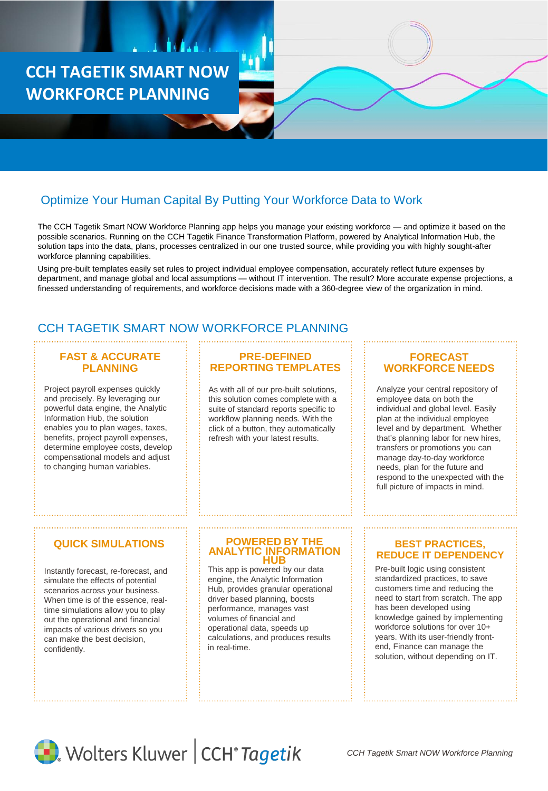**CCH TAGETIK SMART NOW WORKFORCE PLANNING**

# Optimize Your Human Capital By Putting Your Workforce Data to Work

The CCH Tagetik Smart NOW Workforce Planning app helps you manage your existing workforce — and optimize it based on the possible scenarios. Running on the CCH Tagetik Finance Transformation Platform, powered by Analytical Information Hub, the solution taps into the data, plans, processes centralized in our one trusted source, while providing you with highly sought-after workforce planning capabilities.

Using pre-built templates easily set rules to project individual employee compensation, accurately reflect future expenses by department, and manage global and local assumptions — without IT intervention. The result? More accurate expense projections, a finessed understanding of requirements, and workforce decisions made with a 360-degree view of the organization in mind.

# CCH TAGETIK SMART NOW WORKFORCE PLANNING

### **FAST & ACCURATE PLANNING**

Project payroll expenses quickly and precisely. By leveraging our powerful data engine, the Analytic Information Hub, the solution enables you to plan wages, taxes, benefits, project payroll expenses, determine employee costs, develop compensational models and adjust to changing human variables.

## **PRE-DEFINED REPORTING TEMPLATES**

As with all of our pre-built solutions, this solution comes complete with a suite of standard reports specific to workflow planning needs. With the click of a button, they automatically refresh with your latest results.

### **FORECAST WORKFORCE NEEDS**

Analyze your central repository of employee data on both the individual and global level. Easily plan at the individual employee level and by department. Whether that's planning labor for new hires, transfers or promotions you can manage day-to-day workforce needs, plan for the future and respond to the unexpected with the full picture of impacts in mind.

## **QUICK SIMULATIONS**

Instantly forecast, re-forecast, and simulate the effects of potential scenarios across your business. When time is of the essence, realtime simulations allow you to play out the operational and financial impacts of various drivers so you can make the best decision, confidently.

#### **POWERED BY THE TIC INFORMATION HUB**

This app is powered by our data engine, the Analytic Information Hub, provides granular operational driver based planning, boosts performance, manages vast volumes of financial and operational data, speeds up calculations, and produces results in real-time.

### **BEST PRACTICES, REDUCE IT DEPENDENCY**

Pre-built logic using consistent standardized practices, to save customers time and reducing the need to start from scratch. The app has been developed using knowledge gained by implementing workforce solutions for over 10+ years. With its user-friendly frontend, Finance can manage the solution, without depending on IT.